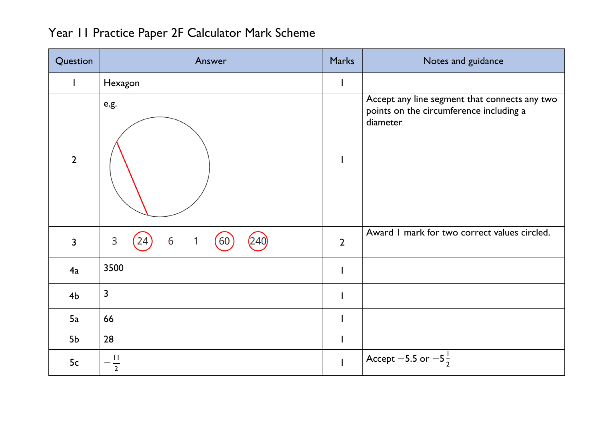| Question       | Answer                                                   | <b>Marks</b>             | Notes and guidance                                                                                   |
|----------------|----------------------------------------------------------|--------------------------|------------------------------------------------------------------------------------------------------|
|                | Hexagon                                                  | $\mathbf{I}$             |                                                                                                      |
| $\overline{2}$ | e.g.                                                     |                          | Accept any line segment that connects any two<br>points on the circumference including a<br>diameter |
| 3              | 240<br>3<br>(60)<br>6<br>$\mathbf{1}$<br>24 <sup>°</sup> | $\overline{2}$           | Award I mark for two correct values circled.                                                         |
| 4a             | 3500                                                     | $\overline{\phantom{a}}$ |                                                                                                      |
| 4 <sub>b</sub> | $\mathbf{3}$                                             | $\mathbf{I}$             |                                                                                                      |
| 5a             | 66                                                       |                          |                                                                                                      |
| 5b             | 28                                                       | $\mathbf{I}$             |                                                                                                      |
| 5c             | $\mathbf{I}$<br>$\overline{2}$                           | $\mathbf{I}$             | Accept -5.5 or $-5\frac{1}{2}$                                                                       |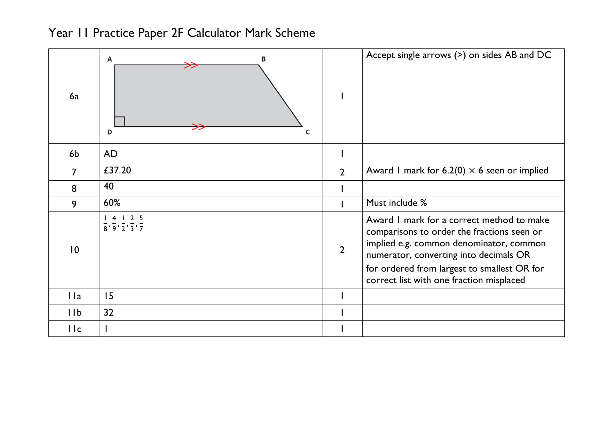

| 6a              | в<br>A<br>D<br>C                                                                                                  |                | Accept single arrows $(>)$ on sides AB and DC                                                                                                                                                                                                                           |
|-----------------|-------------------------------------------------------------------------------------------------------------------|----------------|-------------------------------------------------------------------------------------------------------------------------------------------------------------------------------------------------------------------------------------------------------------------------|
| 6b              | <b>AD</b>                                                                                                         |                |                                                                                                                                                                                                                                                                         |
| 7               | £37.20                                                                                                            | $\overline{2}$ | Award 1 mark for 6.2(0) $\times$ 6 seen or implied                                                                                                                                                                                                                      |
| 8               | 40                                                                                                                |                |                                                                                                                                                                                                                                                                         |
| 9               | 60%                                                                                                               |                | Must include %                                                                                                                                                                                                                                                          |
| $\overline{10}$ | 2 <sub>5</sub><br>$\overline{4}$<br>$\frac{1}{8}$ , $\frac{1}{9}$ , $\frac{1}{2}$ , $\frac{1}{3}$ , $\frac{1}{7}$ | $\overline{2}$ | Award I mark for a correct method to make<br>comparisons to order the fractions seen or<br>implied e.g. common denominator, common<br>numerator, converting into decimals OR<br>for ordered from largest to smallest OR for<br>correct list with one fraction misplaced |
| l la            | 15                                                                                                                |                |                                                                                                                                                                                                                                                                         |
| 11b             | 32                                                                                                                |                |                                                                                                                                                                                                                                                                         |
| IIc             |                                                                                                                   |                |                                                                                                                                                                                                                                                                         |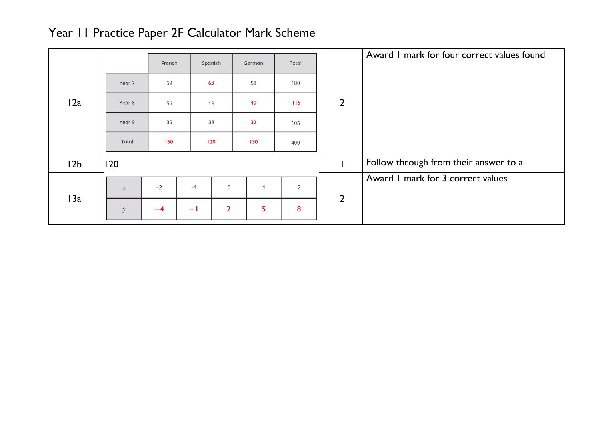|                 |               |        |                        |              |       |                | Award I mark for four correct values found |
|-----------------|---------------|--------|------------------------|--------------|-------|----------------|--------------------------------------------|
|                 |               | French | Spanish                | German       | Total |                |                                            |
|                 | Year 7        | 59     | 63                     | 58           | 180   |                |                                            |
| 12a             | Year 8        | 56     | 19                     | 40           | 115   | $\overline{2}$ |                                            |
|                 | Year 9        | 35     | 38                     | 32           | 105   |                |                                            |
|                 | Total         | 150    | 120                    | 130          | 400   |                |                                            |
| 12 <sub>b</sub> | 120           |        |                        |              |       |                | Follow through from their answer to a      |
|                 |               |        |                        |              |       |                | Award I mark for 3 correct values          |
| 13a             | $\mathcal{X}$ | $-2$   | $-1$<br>0              | $\mathbf{1}$ | 2     | $\overline{2}$ |                                            |
|                 | $\mathcal V$  | $-4$   | $\overline{2}$<br>$-1$ | 5            | 8     |                |                                            |
|                 |               |        |                        |              |       |                |                                            |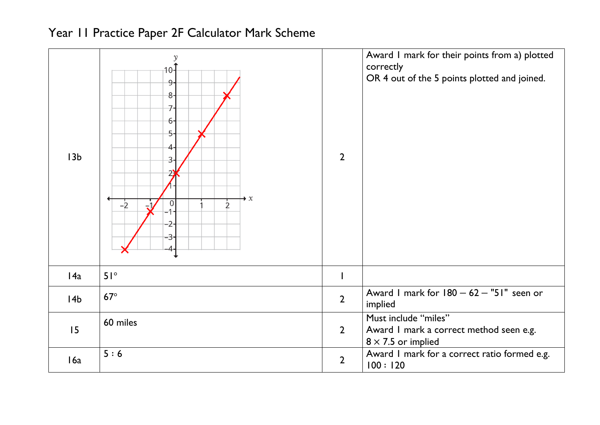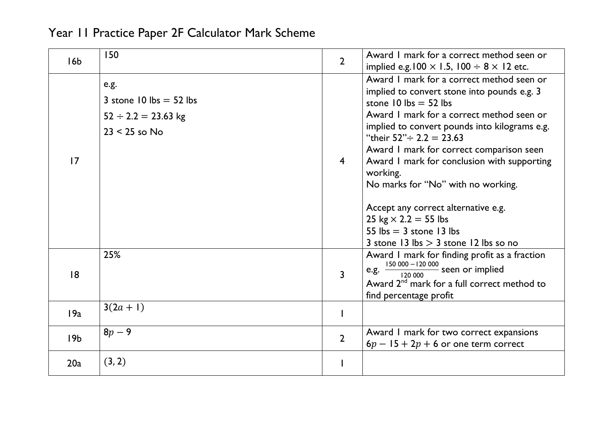| 16 <sub>b</sub> | 150                                                                              | $\overline{2}$ | Award I mark for a correct method seen or<br>implied e.g. $100 \times 1.5$ , $100 \div 8 \times 12$ etc.                                                                                                                                                                                                                                                                                                                                                                                                                                      |
|-----------------|----------------------------------------------------------------------------------|----------------|-----------------------------------------------------------------------------------------------------------------------------------------------------------------------------------------------------------------------------------------------------------------------------------------------------------------------------------------------------------------------------------------------------------------------------------------------------------------------------------------------------------------------------------------------|
| 17              | e.g.<br>3 stone 10 lbs $=$ 52 lbs<br>$52 \div 2.2 = 23.63$ kg<br>$23 < 25$ so No | $\overline{4}$ | Award I mark for a correct method seen or<br>implied to convert stone into pounds e.g. 3<br>stone 10 lbs $=$ 52 lbs<br>Award I mark for a correct method seen or<br>implied to convert pounds into kilograms e.g.<br>"their $52" \div 2.2 = 23.63$<br>Award I mark for correct comparison seen<br>Award I mark for conclusion with supporting<br>working.<br>No marks for "No" with no working.<br>Accept any correct alternative e.g.<br>25 kg $\times$ 2.2 = 55 lbs<br>55 lbs $=$ 3 stone 13 lbs<br>3 stone 13 lbs $> 3$ stone 12 lbs so no |
| 18              | 25%                                                                              | $\overline{3}$ | Award I mark for finding profit as a fraction<br>e.g. $\frac{150\ 000 - 120\ 000}{120\ 000}$ seen or implied<br>Award 2 <sup>nd</sup> mark for a full correct method to<br>find percentage profit                                                                                                                                                                                                                                                                                                                                             |
| 19a             | $3(2a + 1)$                                                                      |                |                                                                                                                                                                                                                                                                                                                                                                                                                                                                                                                                               |
| 19 <sub>b</sub> | $8p - 9$                                                                         | $\overline{2}$ | Award I mark for two correct expansions<br>$6p - 15 + 2p + 6$ or one term correct                                                                                                                                                                                                                                                                                                                                                                                                                                                             |
| 20a             | (3, 2)                                                                           |                |                                                                                                                                                                                                                                                                                                                                                                                                                                                                                                                                               |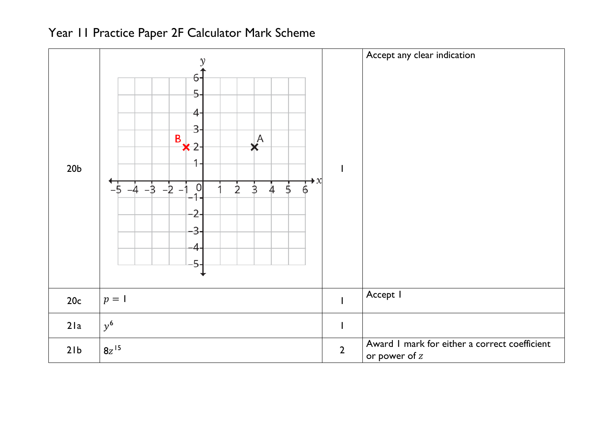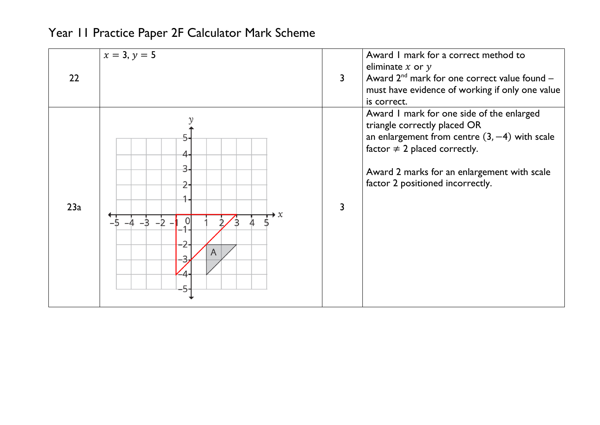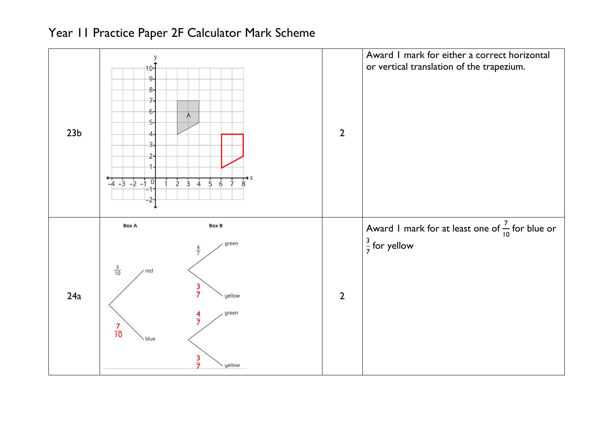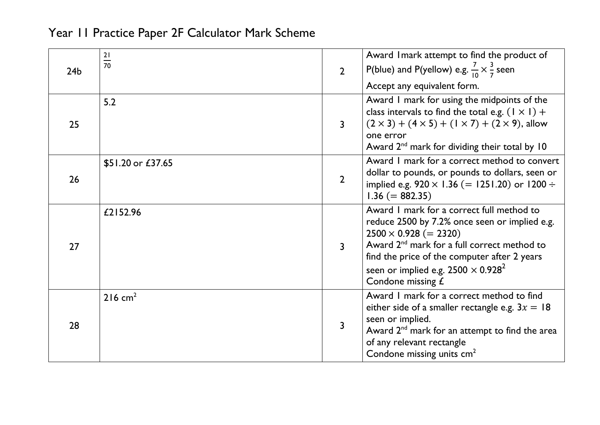| 24 <sub>b</sub> | $\frac{21}{70}$       | $\overline{2}$ | Award I mark attempt to find the product of<br>P(blue) and P(yellow) e.g. $\frac{7}{10} \times \frac{3}{7}$ seen<br>Accept any equivalent form.                                                                                                                                                          |
|-----------------|-----------------------|----------------|----------------------------------------------------------------------------------------------------------------------------------------------------------------------------------------------------------------------------------------------------------------------------------------------------------|
| 25              | 5.2                   | $\overline{3}$ | Award I mark for using the midpoints of the<br>class intervals to find the total e.g. $(1 \times 1)$ +<br>$(2 \times 3) + (4 \times 5) + (1 \times 7) + (2 \times 9)$ , allow<br>one error<br>Award $2^{nd}$ mark for dividing their total by 10                                                         |
| 26              | \$51.20 or £37.65     | $\overline{2}$ | Award I mark for a correct method to convert<br>dollar to pounds, or pounds to dollars, seen or<br>implied e.g. $920 \times 1.36$ (= 1251.20) or 1200 ÷<br>$1.36 (= 882.35)$                                                                                                                             |
| 27              | £2152.96              | $\overline{3}$ | Award I mark for a correct full method to<br>reduce 2500 by 7.2% once seen or implied e.g.<br>$2500 \times 0.928 (= 2320)$<br>Award 2 <sup>nd</sup> mark for a full correct method to<br>find the price of the computer after 2 years<br>seen or implied e.g. $2500 \times 0.928^2$<br>Condone missing £ |
| 28              | $216$ cm <sup>2</sup> | $\overline{3}$ | Award I mark for a correct method to find<br>either side of a smaller rectangle e.g. $3x = 18$<br>seen or implied.<br>Award 2 <sup>nd</sup> mark for an attempt to find the area<br>of any relevant rectangle<br>Condone missing units cm <sup>2</sup>                                                   |